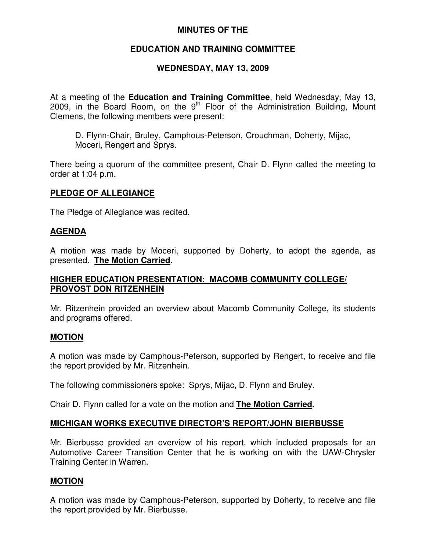### **MINUTES OF THE**

# **EDUCATION AND TRAINING COMMITTEE**

# **WEDNESDAY, MAY 13, 2009**

At a meeting of the **Education and Training Committee**, held Wednesday, May 13, 2009, in the Board Room, on the  $9<sup>th</sup>$  Floor of the Administration Building, Mount Clemens, the following members were present:

D. Flynn-Chair, Bruley, Camphous-Peterson, Crouchman, Doherty, Mijac, Moceri, Rengert and Sprys.

There being a quorum of the committee present, Chair D. Flynn called the meeting to order at 1:04 p.m.

### **PLEDGE OF ALLEGIANCE**

The Pledge of Allegiance was recited.

### **AGENDA**

A motion was made by Moceri, supported by Doherty, to adopt the agenda, as presented. **The Motion Carried.**

### **HIGHER EDUCATION PRESENTATION: MACOMB COMMUNITY COLLEGE/ PROVOST DON RITZENHEIN**

Mr. Ritzenhein provided an overview about Macomb Community College, its students and programs offered.

#### **MOTION**

A motion was made by Camphous-Peterson, supported by Rengert, to receive and file the report provided by Mr. Ritzenhein.

The following commissioners spoke: Sprys, Mijac, D. Flynn and Bruley.

Chair D. Flynn called for a vote on the motion and **The Motion Carried.**

### **MICHIGAN WORKS EXECUTIVE DIRECTOR'S REPORT/JOHN BIERBUSSE**

Mr. Bierbusse provided an overview of his report, which included proposals for an Automotive Career Transition Center that he is working on with the UAW-Chrysler Training Center in Warren.

### **MOTION**

A motion was made by Camphous-Peterson, supported by Doherty, to receive and file the report provided by Mr. Bierbusse.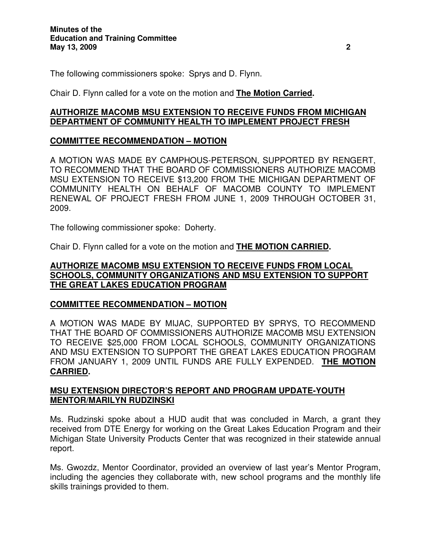The following commissioners spoke: Sprys and D. Flynn.

Chair D. Flynn called for a vote on the motion and **The Motion Carried.**

### **AUTHORIZE MACOMB MSU EXTENSION TO RECEIVE FUNDS FROM MICHIGAN DEPARTMENT OF COMMUNITY HEALTH TO IMPLEMENT PROJECT FRESH**

# **COMMITTEE RECOMMENDATION – MOTION**

A MOTION WAS MADE BY CAMPHOUS-PETERSON, SUPPORTED BY RENGERT, TO RECOMMEND THAT THE BOARD OF COMMISSIONERS AUTHORIZE MACOMB MSU EXTENSION TO RECEIVE \$13,200 FROM THE MICHIGAN DEPARTMENT OF COMMUNITY HEALTH ON BEHALF OF MACOMB COUNTY TO IMPLEMENT RENEWAL OF PROJECT FRESH FROM JUNE 1, 2009 THROUGH OCTOBER 31, 2009.

The following commissioner spoke: Doherty.

Chair D. Flynn called for a vote on the motion and **THE MOTION CARRIED.**

#### **AUTHORIZE MACOMB MSU EXTENSION TO RECEIVE FUNDS FROM LOCAL SCHOOLS, COMMUNITY ORGANIZATIONS AND MSU EXTENSION TO SUPPORT THE GREAT LAKES EDUCATION PROGRAM**

### **COMMITTEE RECOMMENDATION – MOTION**

A MOTION WAS MADE BY MIJAC, SUPPORTED BY SPRYS, TO RECOMMEND THAT THE BOARD OF COMMISSIONERS AUTHORIZE MACOMB MSU EXTENSION TO RECEIVE \$25,000 FROM LOCAL SCHOOLS, COMMUNITY ORGANIZATIONS AND MSU EXTENSION TO SUPPORT THE GREAT LAKES EDUCATION PROGRAM FROM JANUARY 1, 2009 UNTIL FUNDS ARE FULLY EXPENDED. **THE MOTION CARRIED.**

### **MSU EXTENSION DIRECTOR'S REPORT AND PROGRAM UPDATE-YOUTH MENTOR/MARILYN RUDZINSKI**

Ms. Rudzinski spoke about a HUD audit that was concluded in March, a grant they received from DTE Energy for working on the Great Lakes Education Program and their Michigan State University Products Center that was recognized in their statewide annual report.

Ms. Gwozdz, Mentor Coordinator, provided an overview of last year's Mentor Program, including the agencies they collaborate with, new school programs and the monthly life skills trainings provided to them.